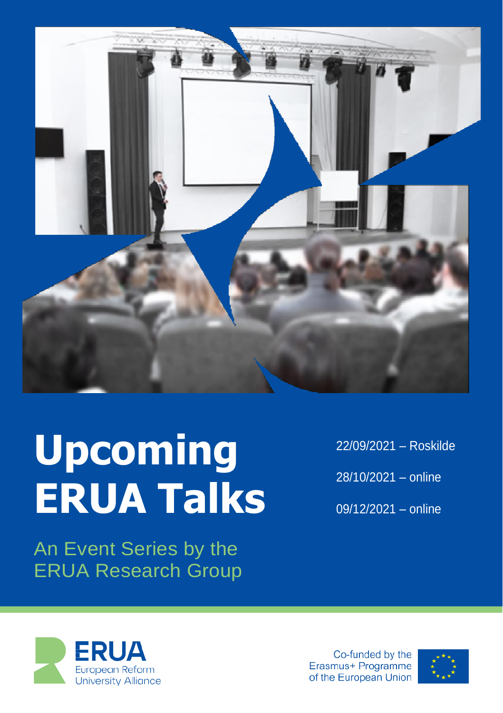

# **Upcoming ERUA Talks**

An Event Series by the ERUA Research Group 22/09/2021 – Roskilde 28/10/2021 – online 09/12/2021 – online



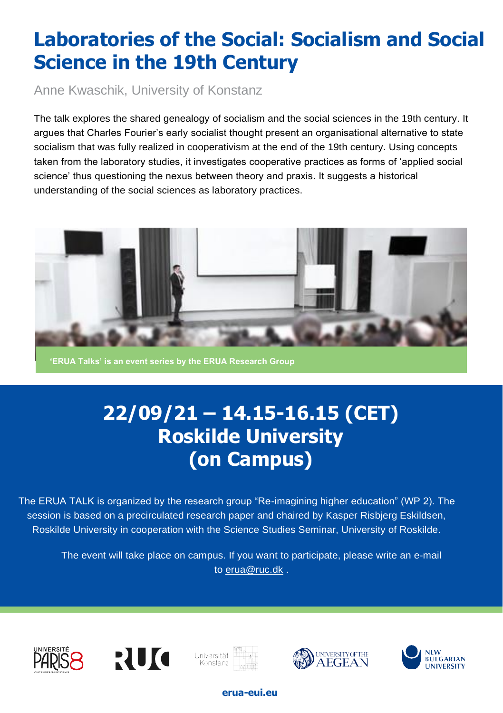# **Laboratories of the Social: Socialism and Social Science in the 19th Century**

Anne Kwaschik, University of Konstanz

The talk explores the shared genealogy of socialism and the social sciences in the 19th century. It argues that Charles Fourier's early socialist thought present an organisational alternative to state socialism that was fully realized in cooperativism at the end of the 19th century. Using concepts taken from the laboratory studies, it investigates cooperative practices as forms of 'applied social science' thus questioning the nexus between theory and praxis. It suggests a historical understanding of the social sciences as laboratory practices.



**'ERUA Talks' is an event series by the ERUA Research Group**

# **22/09/21 – 14.15-16.15 (CET) Roskilde University (on Campus)**

The ERUA TALK is organized by the research group "Re-imagining higher education" (WP 2). The session is based on a precirculated research paper and chaired by Kasper Risbjerg Eskildsen, Roskilde University in cooperation with the Science Studies Seminar, University of Roskilde.

The event will take place on campus. If you want to participate, please write an e-mail to [erua@ruc.dk](mailto:erua@ruc.dk) .











#### **erua-eui.eu**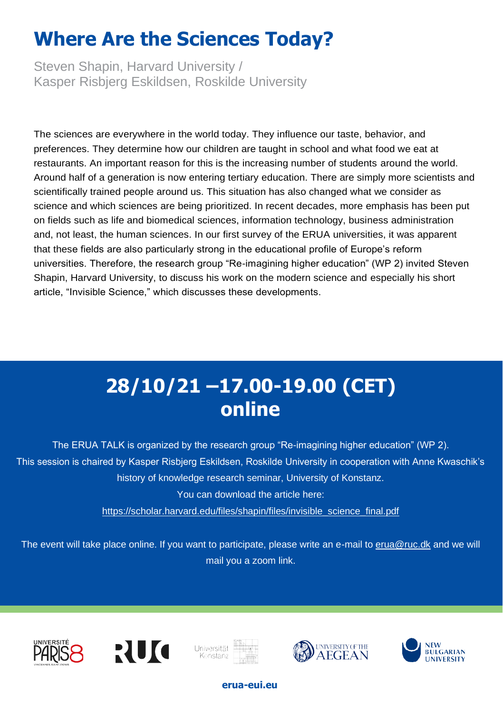# **Where Are the Sciences Today?**

Steven Shapin, Harvard University / Kasper Risbjerg Eskildsen, Roskilde University

The sciences are everywhere in the world today. They influence our taste, behavior, and preferences. They determine how our children are taught in school and what food we eat at restaurants. An important reason for this is the increasing number of students around the world. Around half of a generation is now entering tertiary education. There are simply more scientists and scientifically trained people around us. This situation has also changed what we consider as science and which sciences are being prioritized. In recent decades, more emphasis has been put on fields such as life and biomedical sciences, information technology, business administration and, not least, the human sciences. In our first survey of the ERUA universities, it was apparent that these fields are also particularly strong in the educational profile of Europe's reform universities. Therefore, the research group "Re-imagining higher education" (WP 2) invited Steven Shapin, Harvard University, to discuss his work on the modern science and especially his short article, "Invisible Science," which discusses these developments.

## **28/10/21 –17.00-19.00 (CET) online**

The ERUA TALK is organized by the research group "Re-imagining higher education" (WP 2). This session is chaired by Kasper Risbjerg Eskildsen, Roskilde University in cooperation with Anne Kwaschik's history of knowledge research seminar, University of Konstanz. You can download the article here:

[https://scholar.harvard.edu/files/shapin/files/invisible\\_science\\_final.pdf](https://scholar.harvard.edu/files/shapin/files/invisible_science_final.pdf)

The event will take place online. If you want to participate, please write an e-mail to [erua@ruc.dk](mailto:erua@ruc.dk) and we will mail you a zoom link.











#### **erua-eui.eu**